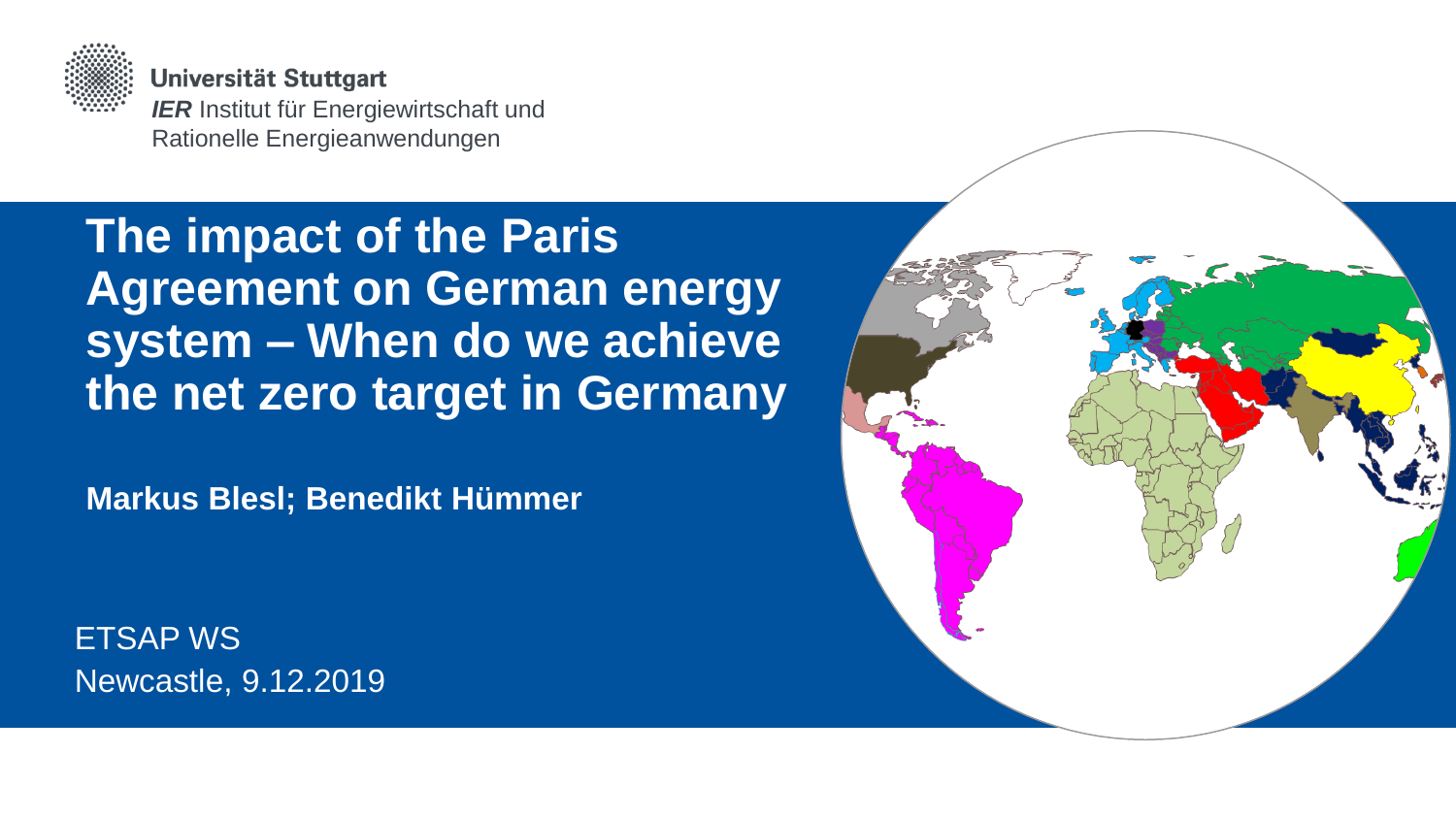

Universität Stuttgart *IER* Institut für Energiewirtschaft und Rationelle Energieanwendungen

# **The impact of the Paris Agreement on German energy system – When do we achieve the net zero target in Germany**

**Markus Blesl; Benedikt Hümmer**

ETSAP WS Newcastle, 9.12.2019

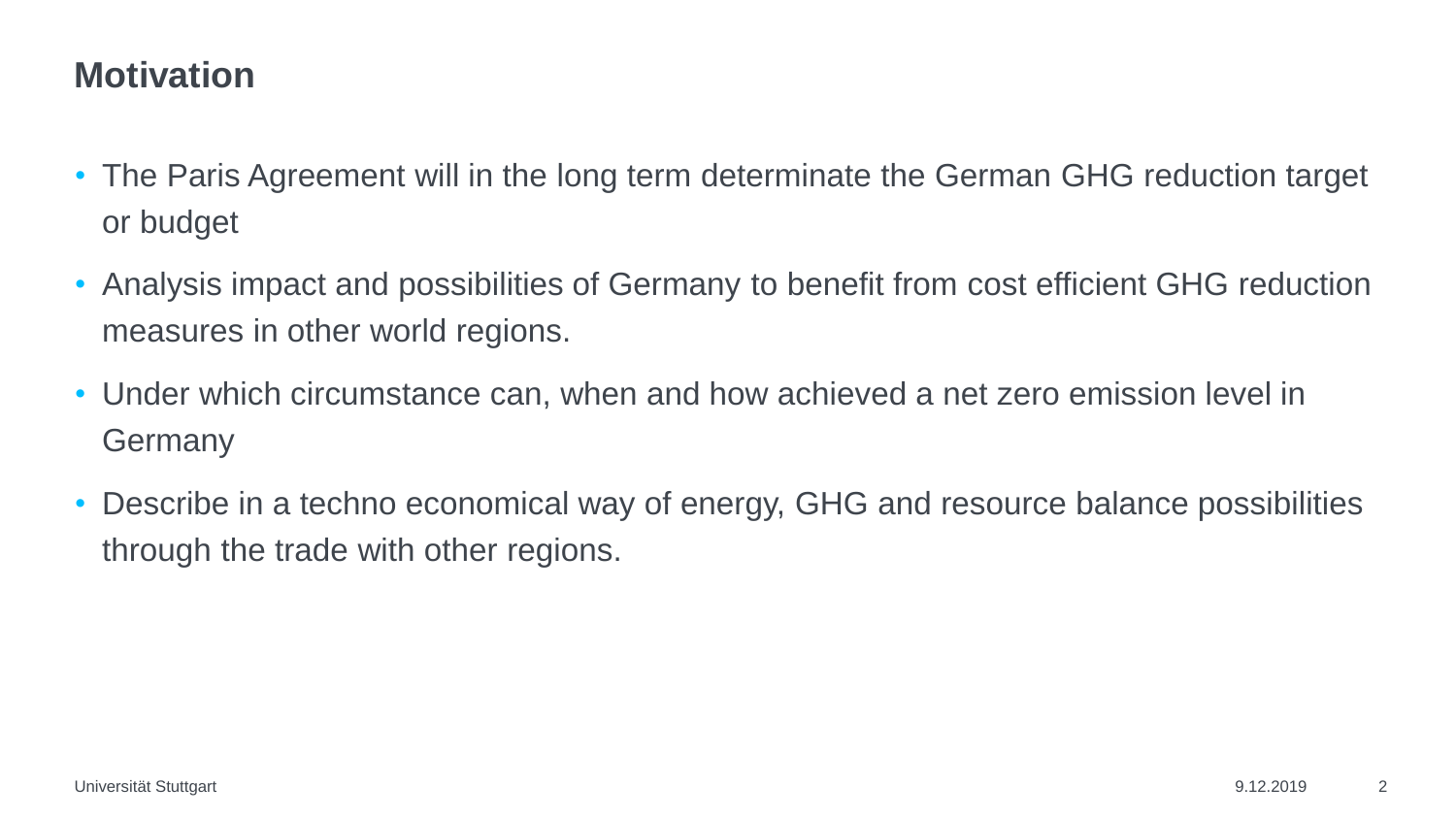#### **Motivation**

- The Paris Agreement will in the long term determinate the German GHG reduction target or budget
- Analysis impact and possibilities of Germany to benefit from cost efficient GHG reduction measures in other world regions.
- Under which circumstance can, when and how achieved a net zero emission level in **Germany**
- Describe in a techno economical way of energy, GHG and resource balance possibilities through the trade with other regions.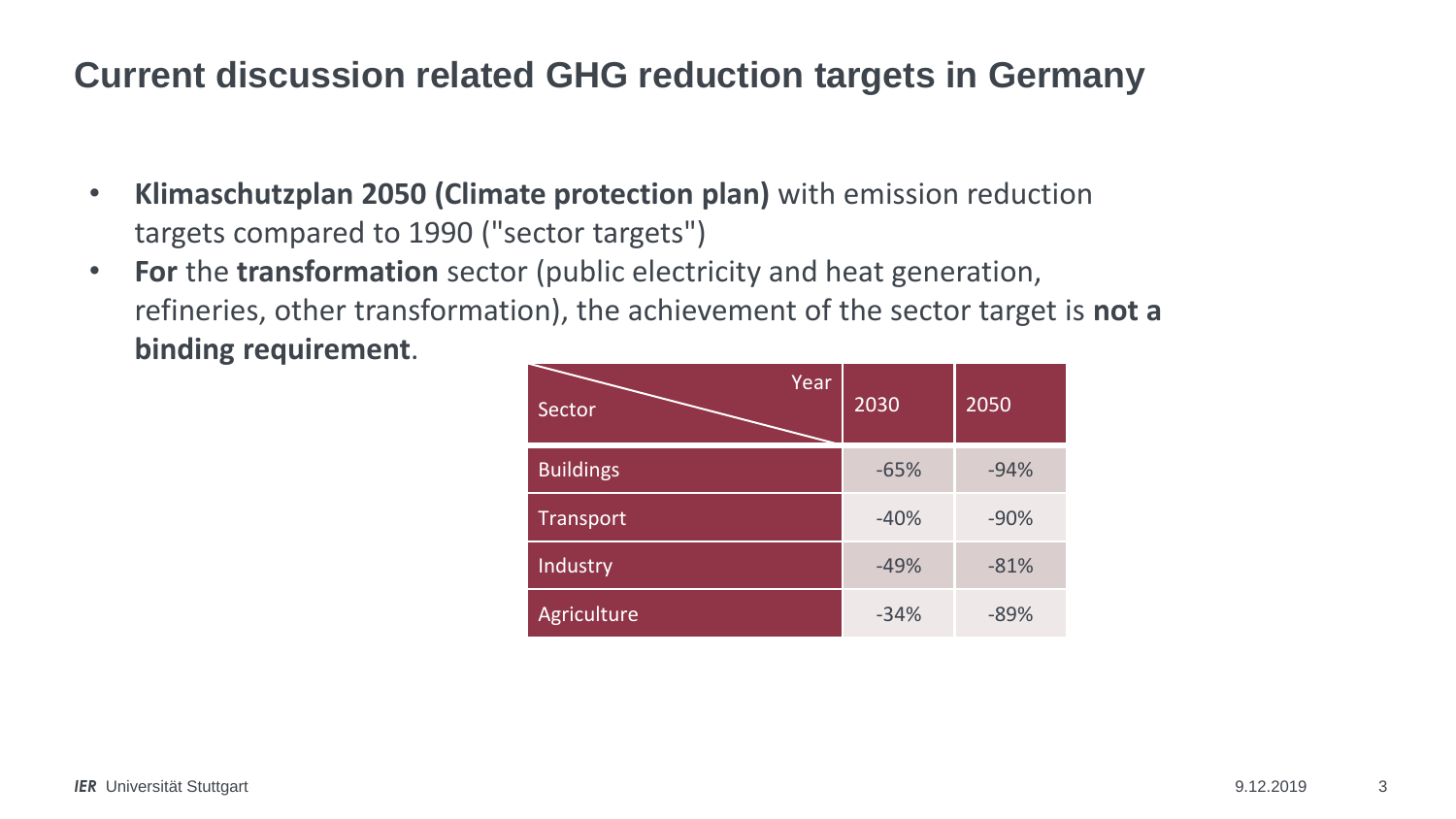### **Current discussion related GHG reduction targets in Germany**

- **Klimaschutzplan 2050 (Climate protection plan)** with emission reduction targets compared to 1990 ("sector targets")
- **For** the **transformation** sector (public electricity and heat generation, refineries, other transformation), the achievement of the sector target is **not a binding requirement**.

| Year<br>Sector   | 2030   | 2050   |
|------------------|--------|--------|
| <b>Buildings</b> | $-65%$ | $-94%$ |
| Transport        | $-40%$ | $-90%$ |
| Industry         | $-49%$ | $-81%$ |
| Agriculture      | $-34%$ | $-89%$ |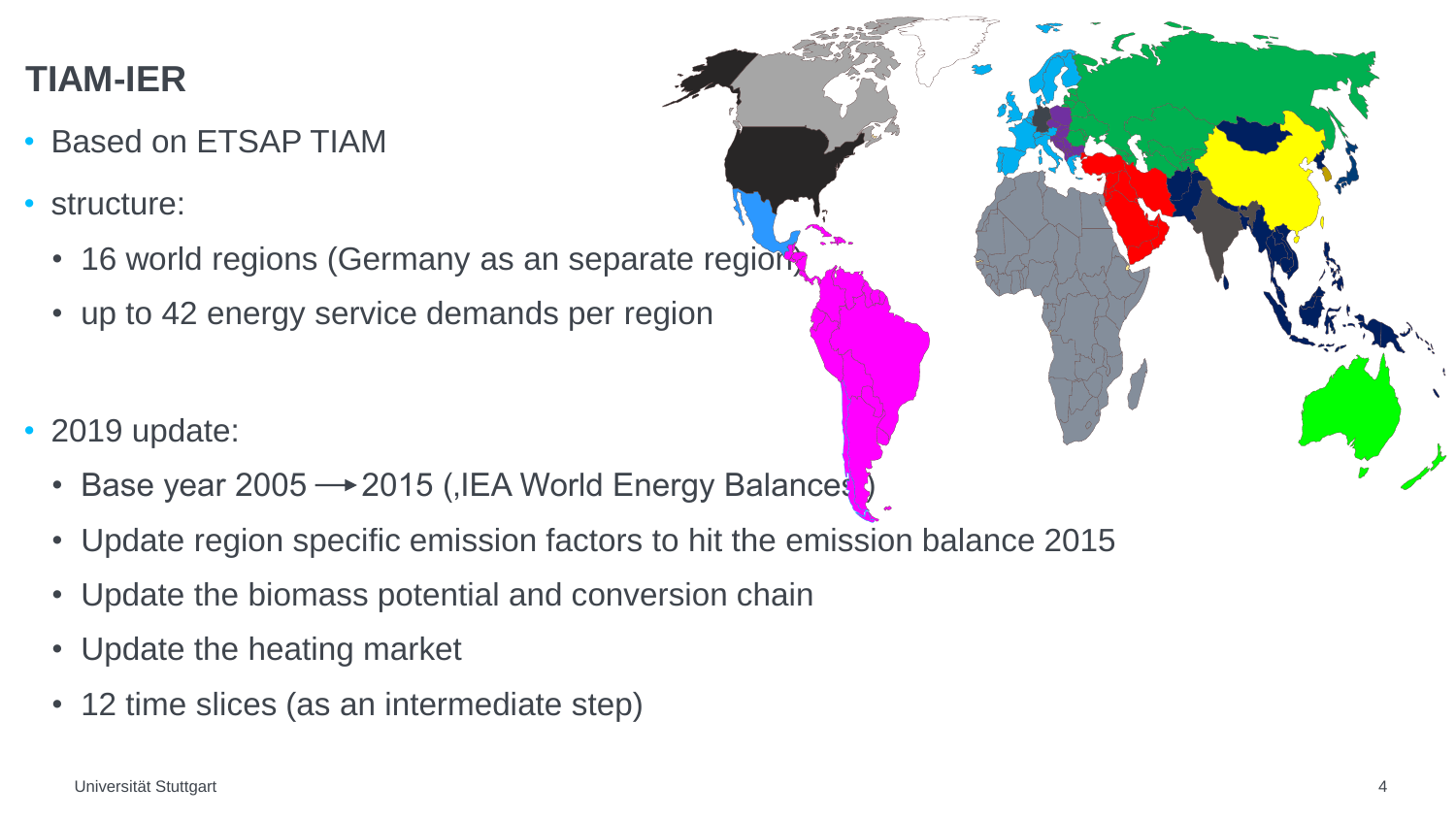## **TIAM-IER**

- Based on ETSAP TIAM
- structure:
	- 16 world regions (Germany as an separate region
	- up to 42 energy service demands per region
- 2019 update:
	- Base year 2005  $\rightarrow$  2015 (, IEA World Energy Balances
	- Update region specific emission factors to hit the emission balance 2015
	- Update the biomass potential and conversion chain
	- Update the heating market
	- 12 time slices (as an intermediate step)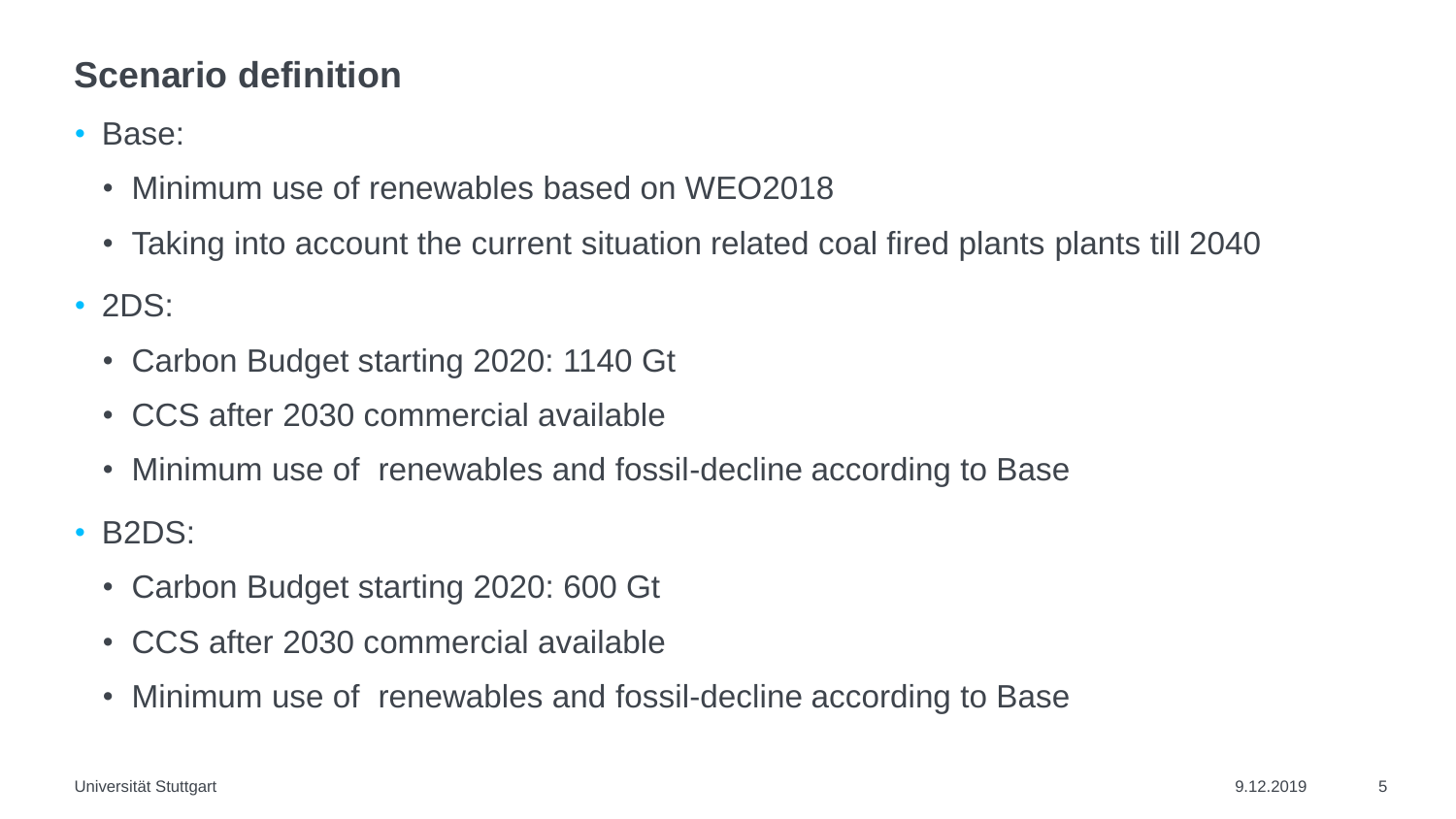## **Scenario definition**

#### • Base:

- Minimum use of renewables based on WEO2018
- Taking into account the current situation related coal fired plants plants till 2040
- 2DS:
	- Carbon Budget starting 2020: 1140 Gt
	- CCS after 2030 commercial available
	- Minimum use of renewables and fossil-decline according to Base
- B2DS:
	- Carbon Budget starting 2020: 600 Gt
	- CCS after 2030 commercial available
	- Minimum use of renewables and fossil-decline according to Base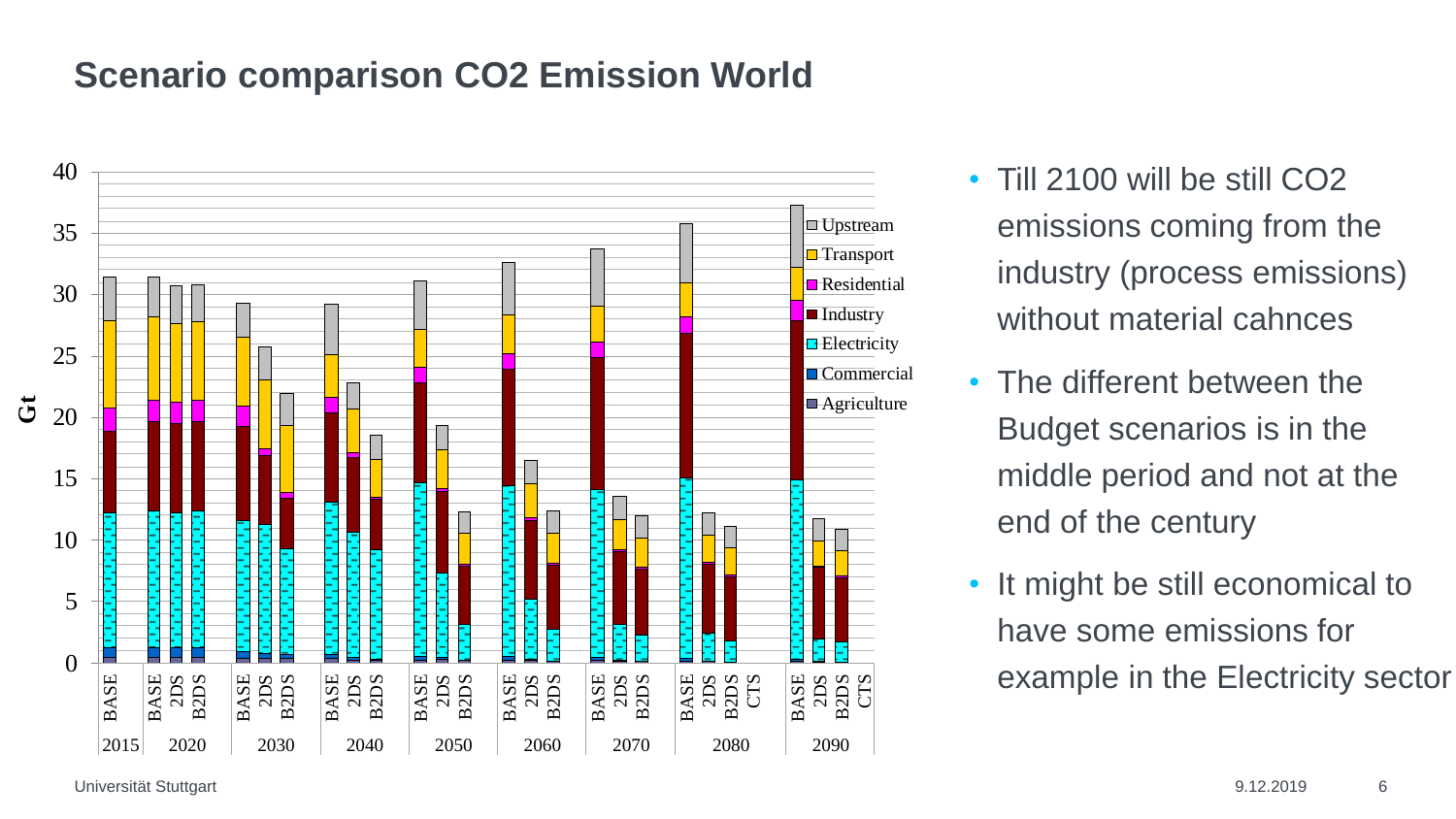#### **Scenario comparison CO2 Emission World**



- Till 2100 will be still CO2 emissions coming from the industry (process emissions) without material cahnces
- The different between the Budget scenarios is in the middle period and not at the end of the century
- It might be still economical to have some emissions for example in the Electricity sector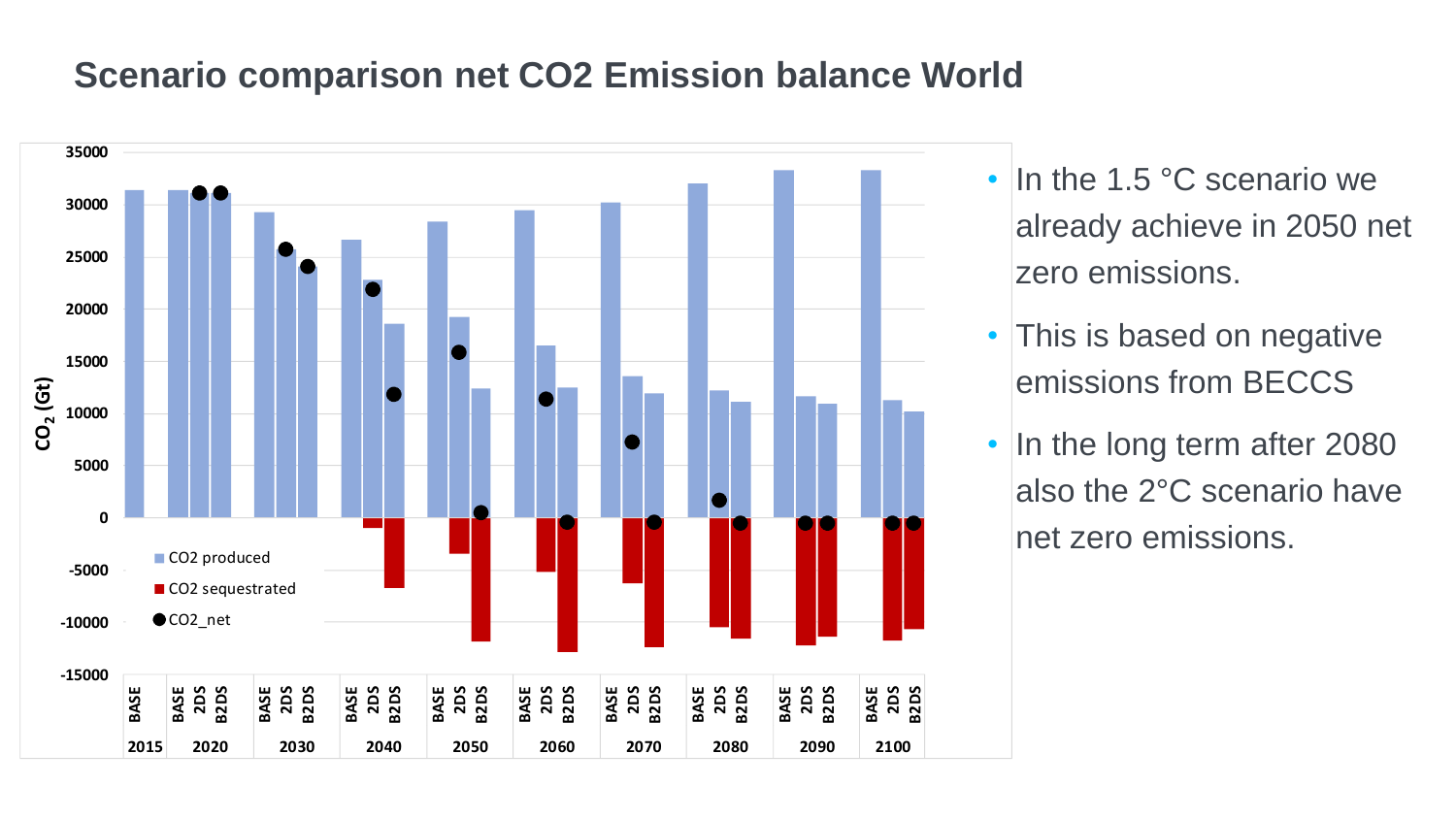#### **Scenario comparison net CO2 Emission balance World**



- In the 1.5 °C scenario we already achieve in 2050 net zero emissions.
- This is based on negative emissions from BECCS
- In the long term after 2080 also the 2°C scenario have net zero emissions.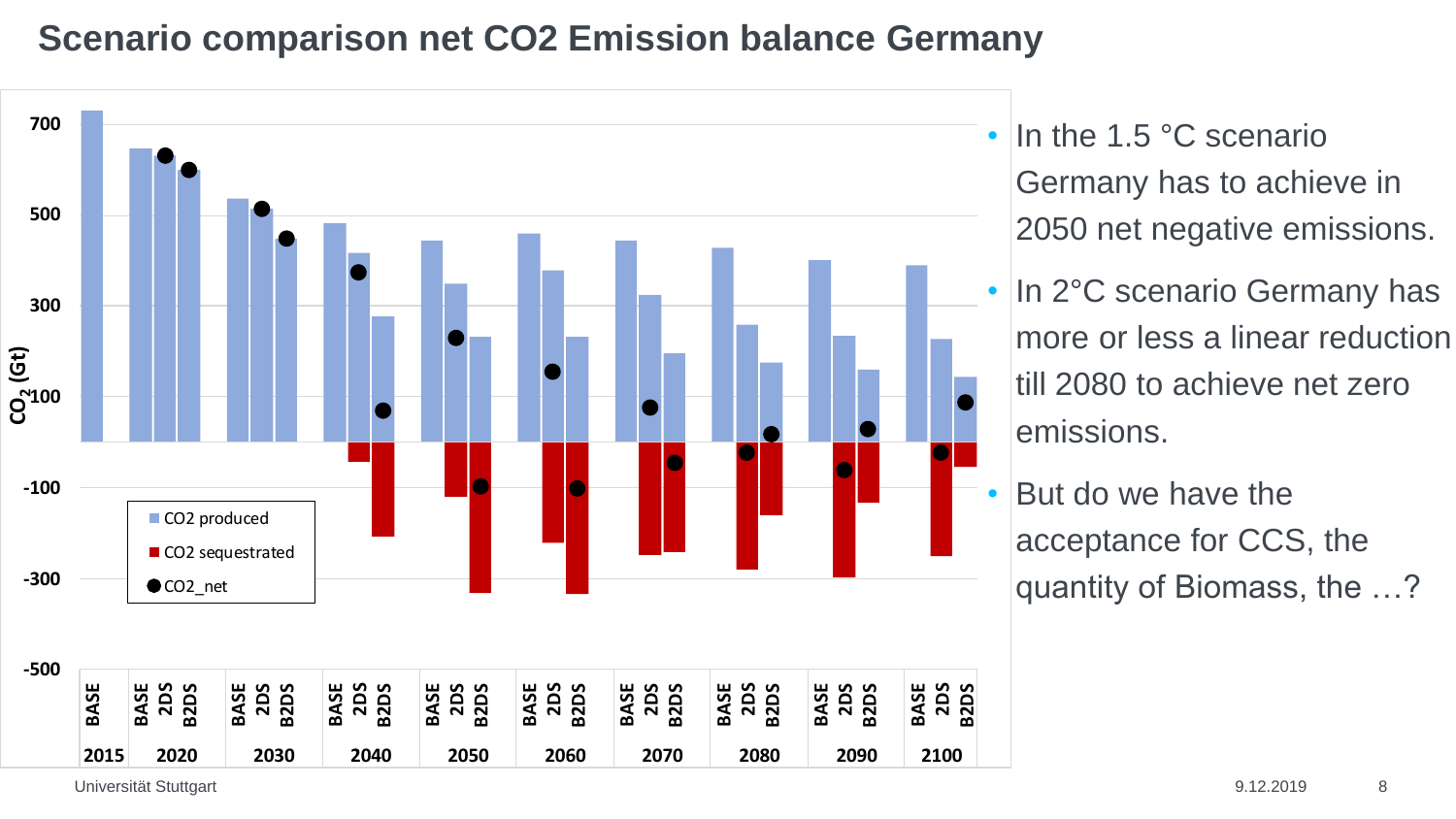## **Scenario comparison net CO2 Emission balance Germany**



• In the 1.5 °C scenario Germany has to achieve in 2050 net negative emissions.

• In 2°C scenario Germany has more or less a linear reduction till 2080 to achieve net zero emissions.

• But do we have the acceptance for CCS, the quantity of Biomass, the …?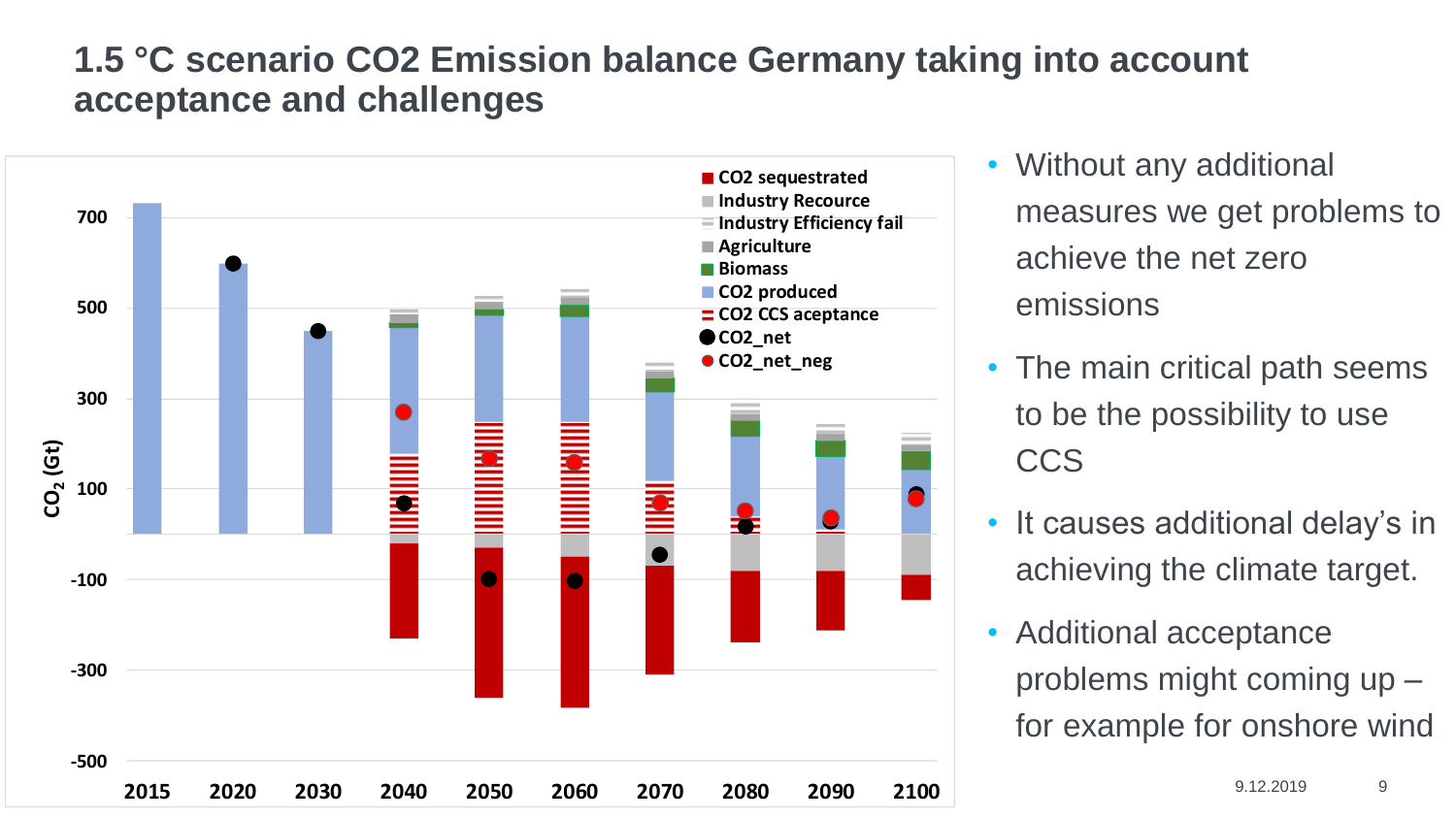### **1.5 °C scenario CO2 Emission balance Germany taking into account acceptance and challenges**



• Without any additional measures we get problems to achieve the net zero emissions

- The main critical path seems to be the possibility to use CCS
- It causes additional delay's in achieving the climate target.
- Additional acceptance problems might coming up – for example for onshore wind